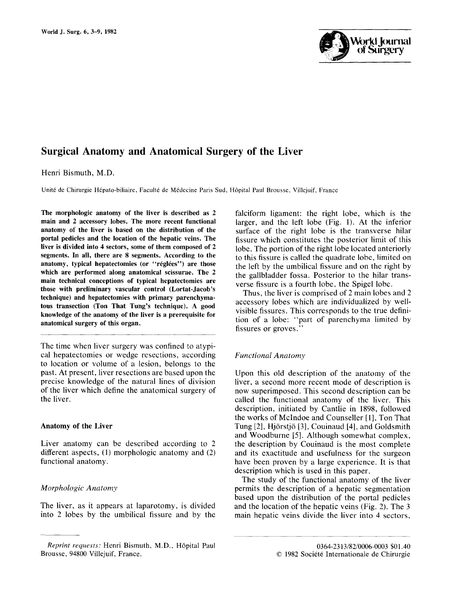

# **Surgical Anatomy and Anatomical Surgery of the Liver**

Henri Bismuth, M.D.

Unit6 de Chirurgie H6pato-biliaire, Facult6 de M6decine Paris Sud, H6pital Paul Brousse, Villejuif, France

**The morphologic anatomy of the liver is described as 2 main and 2 accessory lobes. The more recent functional anatomy of the liver is based on the distribution of the portal pedicles and the location of the hepatic veins. The liver is divided into 4 sectors, some of them composed of 2 segments. In all, there are 8 segments. According to the**  anatomy, typical hepatectomies (or "réglées") are those **which are performed along anatomical scissurae. The 2 main technical conceptions of typical hepatectomies are those with preliminary vascular control (Lortat-Jacob's technique) and hepatectomies with primary parenchymatous transection (Ton That Tung's technique). A good knowledge of the anatomy of the liver is a prerequisite for anatomical surgery of this organ.** 

The time when liver surgery was confined to atypical hepatectomies or wedge resections, according to location or volume of a lesion, belongs to the past. At present, liver resections are based upon the precise knowledge of the natural lines of division of the liver which define the anatomical surgery of the liver.

#### **Anatomy of the Liver**

Liver anatomy can be described according to 2 different aspects, (1) morphologic anatomy and (2) functional anatomy.

### *Morphologic Anatomy*

The liver, as it appears at laparotomy, is divided into 2 lobes by the umbilical fissure and by the falciform ligament: the right lobe, which is the larger, and the left lobe (Fig. 1). At the inferior surface of the right lobe is the transverse hilar fissure which constitutes the posterior limit of this lobe. The portion of the right lobe located anteriorly to this fissure is called the quadrate lobe, limited on the left by the umbilical fissure and on the right by the gallbladder fossa. Posterior to the hilar transverse fissure is a fourth lobe, the Spigel lobe.

Thus, the liver is comprised of 2 main lobes and 2 accessory lobes which are individualized by wellvisible fissures. This corresponds to the true definition of a lobe: "part of parenchyma limited by fissures or groves."

#### *Functional Anatomy*

Upon this old description of the anatomy of the liver, a second more recent mode of description is now superimposed. This second description can be called the functional anatomy of the liver. This description, initiated by Cantlie in 1898, followed the works of McIndoe and Counseller [1], Ton That Tung [2], Hj6rstj6 [3], Couinaud [4], and Goldsmith and Woodburne [5]. Although somewhat complex, the description by Couinaud is the most complete and its exactitude and usefulness for the surgeon have been proven by a large experience. It is that description which is used in this paper.

The study of the functional anatomy of the liver permits the description of a hepatic segmentation based upon the distribution of the portal pedicles and the location of the hepatic veins (Fig. 2). The 3 main hepatic veins divide the liver into 4 sectors,

*Reprint requests:* Henri Bismuth, M.D., H6pital Paul 0364-2313/82/0006-0003 \$01.40 Brousse, 94800 Villejuif, France. 9480 Pulle and the Chirurgie of the Societt Schrift and Delta Chirurgie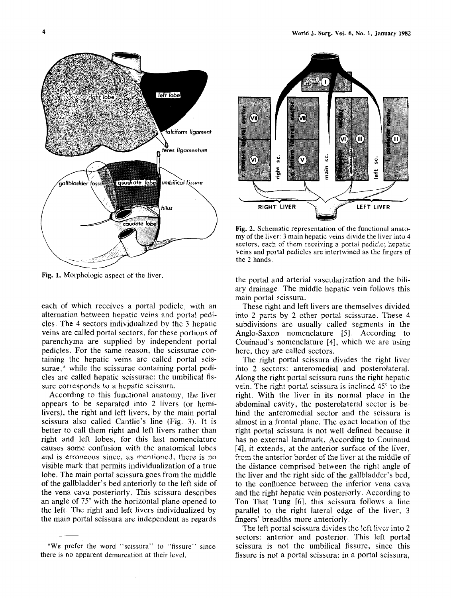

Fig. 1. Morphologic aspect of the liver.

each of which receives a portal pedicle, with an alternation between hepatic veins and portal pedicles. The 4 sectors individualized by the 3 hepatic veins are called portal sectors, for these portions of parenchyma are supplied by independent portal pedicles. For the same reason, the scissurae containing the hepatic veins are called portal scissurae,\* while the scissurae containing portal pedicles are called hepatic scissurae: the umbilical fissure corresponds to a hepatic scissura.

According to this functional anatomy, the liver appears to be separated into 2 livers (or hemilivers), the right and left livers, by the main portal scissura also called Cantlie's line (Fig. 3). It is better to call them right and left livers rather than right and left lobes, for this last nomenclature causes some confusion with the anatomical lobes and is erroneous since, as mentioned, there is no visible mark that permits individualization of a true lobe, The main portal scissura goes from the middle of the gallbladder's bed anteriorly to the left side of the vena cava posteriorly. This scissura describes an angle of  $75^{\circ}$  with the horizontal plane opened to the left. The right and left livers individualized by the main portal scissura are independent as regards



Fig. 2. Schematic representation of the functional anatomy of the liver: 3 main hepatic veins divide the liver into 4 sectors, each of them receiving a portal pedicle; hepatic veins and portal pedicles are intertwined as the fingers of the 2 hands.

the portal and arterial vascularization and the biliary drainage. The middle hepatic vein follows this main portal scissura.

These right and left livers are themselves divided into 2 parts by 2 other portal scissurae. These 4 subdivisions are usually called segments in the Anglo-Saxon nomenclature [5]. According to Couinaud's nomenclature [4], which we are using here, they are called sectors.

The right portal scissura divides the right liver into 2 sectors: anteromedial and posterolateral, Along the right portal scissura runs the right hepatic vein. The right portal scissura is inclined  $45^{\circ}$  to the right. Wilh the liver in its normal place in the abdominal cavity, the posterolateral sector is behind the anteromedial sector and the scissura is almost in a frontal plane. The exact location of the right portal scissura is not well defined because it has no external landmark. According to Couinaud [4], it extends, at the anterior surface of the liver, from the anterior border of the liver at the middle of the distance comprised between the right angle of the liver and the right side of the gallbladder's bed, to the confluence between the inferior vena cava and the right hepatic vein posteriorly. According to Ton That Tung [6], this scissura follows a line parallel to the right lateral edge of the liver, 3 fingers' breadths more anteriorly,

The left portal scissura divides the left liver into 2 sectors: anterior and posterior. This left portal scissura is not the umbilical fissure, since this fissure is not a portal scissura: in a portal scissura,

<sup>\*</sup>We prefer the word "scissura" to "fissure" since there is no apparent demarcation at their level.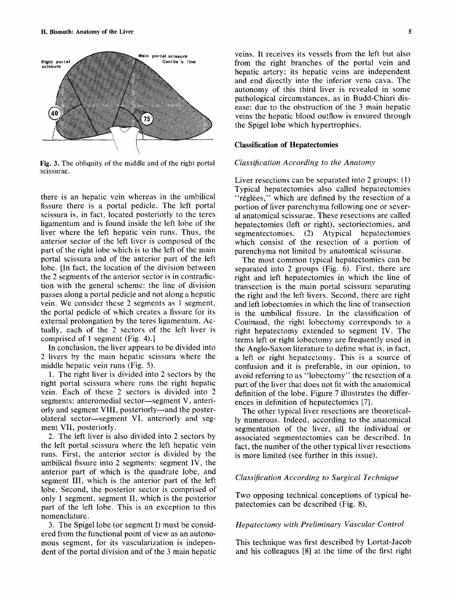

**Fig.** 3. The obliquity of the middle and of the right portal scissurae.

there is an hepatic vein whereas in the umbilical fissure there is a portal pedicle. The left portal scissura is, in fact, located posteriorly to the teres ligamentum and is found inside the left lobe of the liver where the left hepatic vein runs. Thus, the anterior sector of the left liver is composed of the part of the right lobe which is to the left of the main portal scissura and of the anterior part of the left lobe. [In fact, the location of the division between the 2 segments of the anterior sector is in contradiction with the general scheme: the line of division passes along a portal pedicle and not along a hepatic vein. We consider these 2 segments as 1 segment, the portal pedicle of which creates a fissure for its external prolongation by the teres ligamentum. Actually, each of the 2 sectors of the left liver is comprised of 1 segment (Fig. 4).]

In conclusion, the liver appears to be divided into 2 livers by the main hepatic scissura where the middle hepatic vein runs (Fig. 5).

1. The right liver is divided into 2 sectors by the right portal scissura where runs the right hepatic vein. Each of these 2 sectors is divided into 2 segments: anteromedial sector-segment V, anteriorly and segment VIII, posteriorly—and the posterolateral sector--segment VI, anteriorly and segment VII, posteriorly.

2. The left liver is also divided into 2 sectors by the left portal scissura where the left hepatic vein runs. First, the anterior sector is divided by the umbilical fissure into 2 segments: segment IV, the anterior part of which is the quadrate lobe, and segment III, which is the anterior part of the left lobe. Second, the posterior sector is comprised of only 1 segment, segment II, which is the posterior part of the left lobe. This is an exception to this nomenclature.

3. The Spigel lobe (or segment I) must be considered from the functional point of view as an autonomous segment, for its vascularization is independent of the portal division and of the 3 main hepatic veins. It receives its vessels from the left but also from the right branches of the portal vein and hepatic artery; its hepatic veins are independent and end directly into the inferior vena cava. The autonomy of this third liver is revealed in some pathological circumstances, as in Budd-Chiari disease: due to the obstruction of the 3 main hepatic veins the hepatic blood outflow is ensured through the Spigel lobe which hypertrophies.

#### **Classification of Hepatectomies**

#### *Classification According to the Anatomy*

Liver resections can be separated into 2 groups: (1) Typical hepatectomies also called hepatectomies "réglées," which are defined by the resection of a portion of liver parenchyma following one or several anatomical scissurae. These resections are called hepatectomies (left or right), sectoriectomies, and segmentectomies. (2) Atypical hepatectomies which consist of the resection of a portion of parenchyma not limited by anatomical scissurae.

The most common typical hepatectomies can be separated into 2 groups (Fig. 6). First, there are right and left hepatectomies in which the line of transection is the main portal scissura separating the right and the left livers. Second, there are right and left lobectomies in which the line of transection is the umbilical fissure. In the classification of Couinaud, the right lobectomy corresponds to a right hepatectomy extended to segment IV. The terms left or right lobectomy are frequently used in the Anglo-Saxon literature to define what is, in fact, a left or right hepatectomy. This is a source of confusion and it is preferable, in our opinion, to avoid referring to as "lobectomy" the resection of a part of the liver that does not fit with the anatomical definition of the lobe. Figure 7 illustrates the differences in definition of hepatectomies [7].

The other typical liver resections are theoretically numerous. Indeed, according to the anatomical segmentation of the liver, all the individual or associated segmentectomies can be described. In fact, the number of the other typical liver resections is more limited (see further in this issue).

### *Classification According to Surgical Technique*

Two opposing technical conceptions of typical hepatectomies can be described (Fig. 8).

#### *Hepatectomy with Preliminary Vascular Control*

This technique was first described by Lortat-Jacob and his colleagues [8] at the time of the first right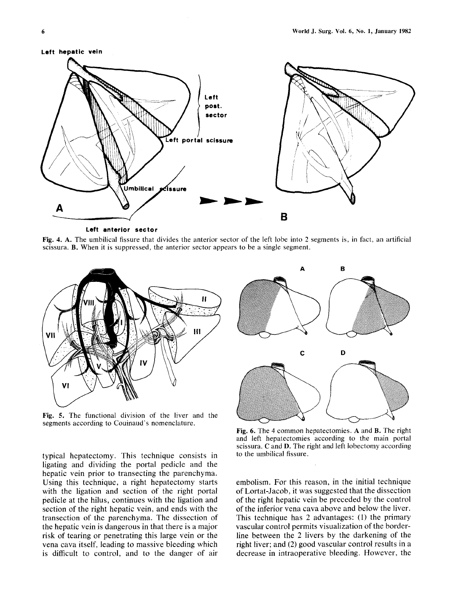



**Left anterior sector** 

Fig. 4. A. The umbilical fissure that divides the anterior sector of the left lobe into 2 segments is, in fact, an artificial scissura. B. When it is suppressed, the anterior sector appears to be a single segment.



Fig. 5. The functional division of the liver and the segments according to Couinaud's nomenclature.

typical hepatectomy. This technique consists in ligating and dividing the portal pedicle and the hepatic vein prior to transecting the parenchyma. Using this technique, a right hepatectomy starts with the ligation and section of the right portal pedicle at the hilus, continues with the ligation and section of the right hepatic vein, and ends with the transection of the parenchyma. The dissection of the hepatic vein is dangerous in that there is a major risk of tearing or penetrating this large vein or the vena cava itself, leading to massive bleeding which is difficult to control, and to the danger of air



Fig. 6. The 4 common hepatectomies. A and B. The right and left hepatectomies according to the main portal scissura. C and D. The right and left Iobectomy according to the umbilical fissure.

embolism. For this reason, in the initial technique of Lortat-Jacob, it was suggested that the dissection of the right hepatic vein be preceded by the control of the inferior vena cava above and below the liver. This technique has 2 advantages: (I) the primary vascular control permits visualization of the borderline between the 2 livers by the darkening of the right liver; and (2) good vascular control results in a decrease in intraoperative bleeding. However, the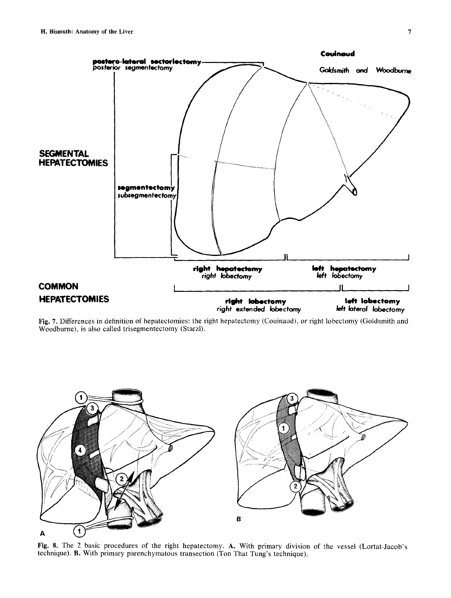

Fig. 7. Differences in definition of hepatectomies: the right hepatectomy (Couinaud), or right lobectomy (Goldsmith and Woodburne), is also called trisegmentectomy (Starzl).



Fig. 8. The 2 basic procedures of the right hepatectomy. A. With primary division of the vessel (Lortat-Jacob's technique). B. With primary parenchymatous transection (Ton That Tung's technique).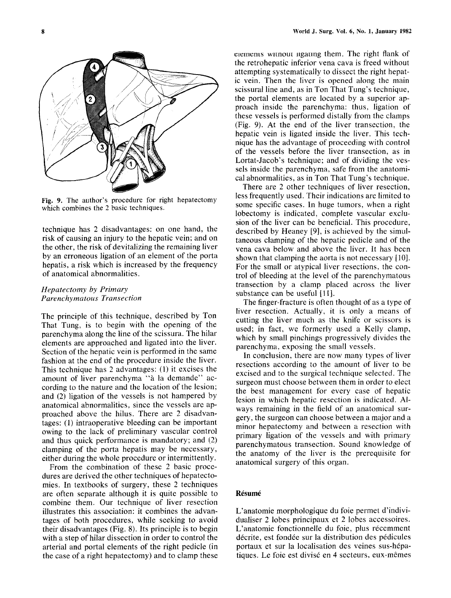

Fig. 9. The author's procedure for right hepatectomy which combines the 2 basic techniques.

technique has 2 disadvantages: on one hand, the risk of causing an injury to the hepatic vein; and on the other, the risk of devitalizing the remaining liver by an erroneous ligation of an element of the porta hepatis, a risk which is increased by the frequency of anatomical abnormalities.

## *Hepatectomy by Primary Parenchymatous Transection*

The principle of this technique, described by Ton That Tung, is to begin with the opening of the parenchyma along the line of the scissura. The hilar elements are approached and ligated into the liver. Section of the hepatic vein is performed in the same fashion at the end of the procedure inside the liver. This technique has 2 advantages: (1) it excises the amount of liver parenchyma "à la demande" according to the nature and the location of the lesion; and (2) ligation of the vessels is not hampered by anatomical abnormalities, since the vessels are approached above the hilus. There are 2 disadvantages: (1) intraoperative bleeding can be important owing to the lack of preliminary vascular control and thus quick performance is mandatory; and (2) clamping of the porta hepatis may be necessary, either during the whole procedure or intermittently.

From the combination of these 2 basic procedures are derived the other techniques of hepatectomies. In textbooks of surgery, these 2 techniques are often separate although it is quite possible to combine them. Our technique of liver resection illustrates this association: it combines the advantages of both procedures, while seeking to avoid their disadvantages (Fig. 8). Its principle is to begin with a step of hilar dissection in order to control the arterial and portal elements of the right pedicle (in the case of a right hepatectomy) and to clamp these elements without ligating them. The right flank of the retrohepatic inferior vena cava is freed without attempting systematically to dissect the right hepatic vein. Then the liver is opened along the main scissural line and, as in Ton That Tung's technique, the portal elements are located by a superior approach inside the parenchyma: thus, ligation of these vessels is performed distally from the clamps (Fig. 9). At the end of the liver transection, the hepatic vein is ligated inside the liver. This technique has the advantage of proceeding with control of the vessels before the liver transection, as in Lortat-Jacob's technique; and of dividing the vessels inside the parenchyma, safe from the anatomical abnormalities, as in Ton That Tung's technique.

There are 2 other techniques of liver resection, less frequently used. Their indications are limited to some specific cases. In huge tumors, when a right lobectomy is indicated, complete vascular exclusion of the liver can be beneficial. This procedure, described by Heaney [9], is achieved by the simultaneous clamping of the hepatic pedicle and of the vena cava below and above the liver. It has been shown that clamping the aorta is not necessary [10]. For the small or atypical liver resections, the control of bleeding at the level of the parenchymatous transection by a clamp placed across the liver substance can be useful [11].

The finger-fracture is often thought of as a type of liver resection. Actually, it is only a means of cutting the liver much as the knife or scissors is used; in fact, we formerly used a Kelly clamp, which by small pinchings progressively divides the parenchyma, exposing the small vessels.

In conclusion, there are now many types of liver resections according to the amount of liver to be excised and to the surgical technique selected. The surgeon must choose between them in order to elect the best management for every case of hepatic lesion in which hepatic resection is indicated. Always remaining in the field of an anatomical surgery, the surgeon can choose between a major and a minor hepatectomy and between a resection with primary ligation of the vessels and with primary parenchymatous transection. Sound knowledge of the anatomy of the liver is the prerequisite for anatomical surgery of this organ.

### **R6sum6**

L'anatomie morphologique du foie permet d'individualiser 2 lobes principaux et 2 lobes accessoires. L'anatomie fonctionnelle du foie, plus récemment décrite, est fondée sur la distribution des pédicules portaux et sur la localisation des veines sus-h6patiques. Le foie est divisé en 4 secteurs, eux-mêmes